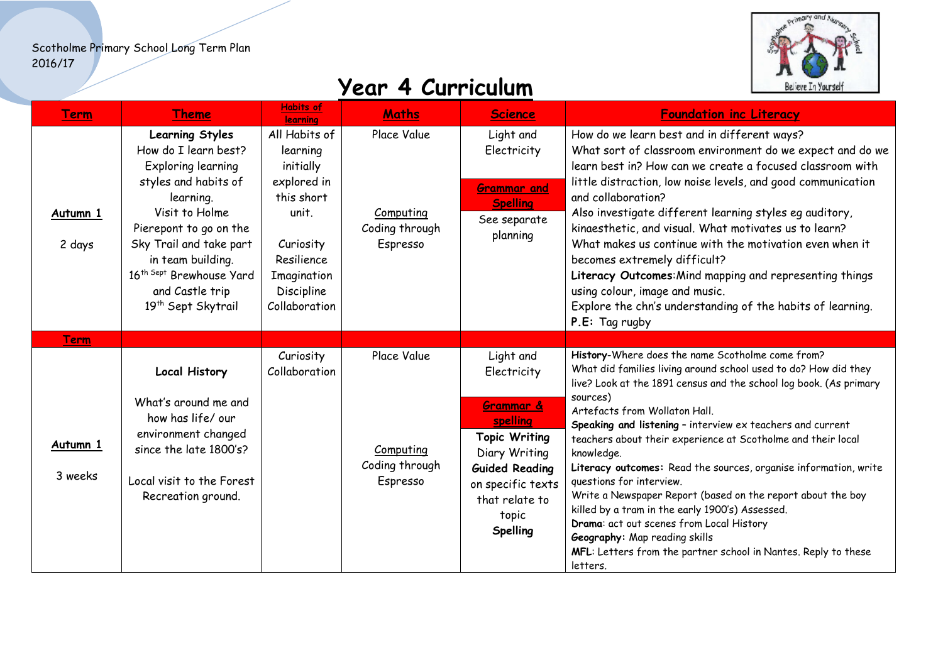

| <b>Term</b>         | <b>Theme</b>                                                                                                                                                                                                                                                                           | Habits of<br><b>learning</b>                                                                                                                          | <b>Maths</b>                                           | <b>Science</b>                                                                                                                                                                         | <b>Foundation inc Literacy</b>                                                                                                                                                                                                                                                                                                                                                                                                                                                                                                                                                                                                                                                                                                                                  |
|---------------------|----------------------------------------------------------------------------------------------------------------------------------------------------------------------------------------------------------------------------------------------------------------------------------------|-------------------------------------------------------------------------------------------------------------------------------------------------------|--------------------------------------------------------|----------------------------------------------------------------------------------------------------------------------------------------------------------------------------------------|-----------------------------------------------------------------------------------------------------------------------------------------------------------------------------------------------------------------------------------------------------------------------------------------------------------------------------------------------------------------------------------------------------------------------------------------------------------------------------------------------------------------------------------------------------------------------------------------------------------------------------------------------------------------------------------------------------------------------------------------------------------------|
| Autumn 1<br>2 days  | <b>Learning Styles</b><br>How do I learn best?<br>Exploring learning<br>styles and habits of<br>learning.<br>Visit to Holme<br>Pierepont to go on the<br>Sky Trail and take part<br>in team building.<br>16th Sept Brewhouse Yard<br>and Castle trip<br>19 <sup>th</sup> Sept Skytrail | All Habits of<br>learning<br>initially<br>explored in<br>this short<br>unit.<br>Curiosity<br>Resilience<br>Imagination<br>Discipline<br>Collaboration | Place Value<br>Computing<br>Coding through<br>Espresso | Light and<br>Electricity<br><b>Grammar and</b><br><b>Spelling</b><br>See separate<br>planning                                                                                          | How do we learn best and in different ways?<br>What sort of classroom environment do we expect and do we<br>learn best in? How can we create a focused classroom with<br>little distraction, low noise levels, and good communication<br>and collaboration?<br>Also investigate different learning styles eg auditory,<br>kinaesthetic, and visual. What motivates us to learn?<br>What makes us continue with the motivation even when it<br>becomes extremely difficult?<br>Literacy Outcomes: Mind mapping and representing things<br>using colour, image and music.<br>Explore the chn's understanding of the habits of learning.<br>P.E: Tag rugby                                                                                                         |
| Term                |                                                                                                                                                                                                                                                                                        |                                                                                                                                                       |                                                        |                                                                                                                                                                                        |                                                                                                                                                                                                                                                                                                                                                                                                                                                                                                                                                                                                                                                                                                                                                                 |
| Autumn 1<br>3 weeks | <b>Local History</b><br>What's around me and<br>how has life/our<br>environment changed<br>since the late 1800's?<br>Local visit to the Forest<br>Recreation ground.                                                                                                                   | Curiosity<br>Collaboration                                                                                                                            | Place Value<br>Computing<br>Coding through<br>Espresso | Light and<br>Electricity<br>Grammar &<br>spelling<br><b>Topic Writing</b><br>Diary Writing<br><b>Guided Reading</b><br>on specific texts<br>that relate to<br>topic<br><b>Spelling</b> | History-Where does the name Scotholme come from?<br>What did families living around school used to do? How did they<br>live? Look at the 1891 census and the school log book. (As primary<br>sources)<br>Artefacts from Wollaton Hall.<br>Speaking and listening - interview ex teachers and current<br>teachers about their experience at Scotholme and their local<br>knowledge.<br>Literacy outcomes: Read the sources, organise information, write<br>questions for interview.<br>Write a Newspaper Report (based on the report about the boy<br>killed by a tram in the early 1900's) Assessed.<br>Drama: act out scenes from Local History<br>Geography: Map reading skills<br>MFL: Letters from the partner school in Nantes. Reply to these<br>letters. |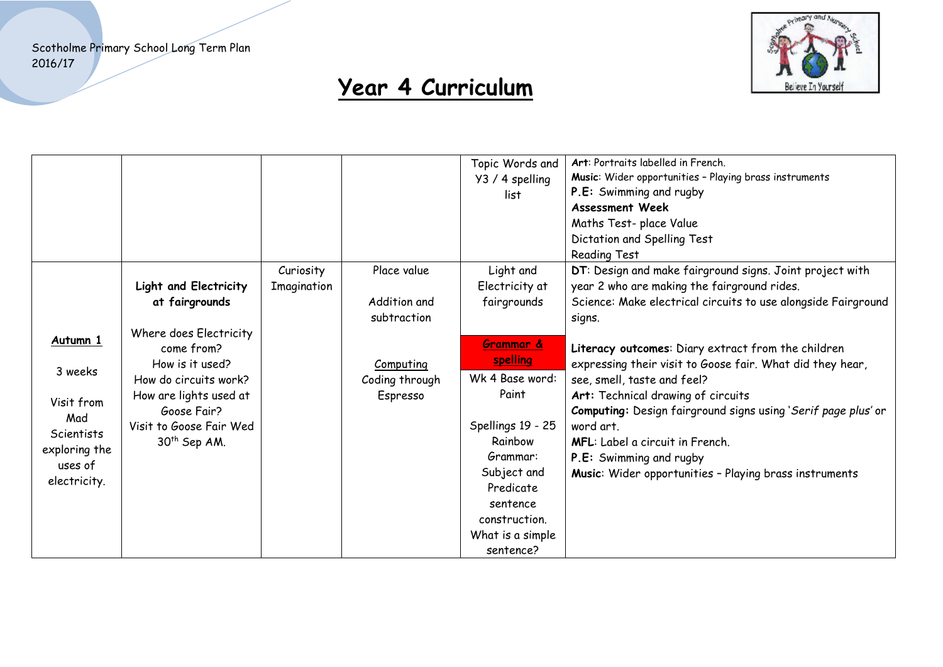

|                                                                                                           |                                                                                                                                                                                                                             |                          |                                                                                       | Topic Words and<br>Y3 / 4 spelling<br>list                                                                                                                                                                                            | Art: Portraits labelled in French.<br>Music: Wider opportunities - Playing brass instruments<br>P.E: Swimming and rugby<br><b>Assessment Week</b><br>Maths Test- place Value<br>Dictation and Spelling Test<br>Reading Test                                                                                                                                                                                                                                                                                                                                                             |
|-----------------------------------------------------------------------------------------------------------|-----------------------------------------------------------------------------------------------------------------------------------------------------------------------------------------------------------------------------|--------------------------|---------------------------------------------------------------------------------------|---------------------------------------------------------------------------------------------------------------------------------------------------------------------------------------------------------------------------------------|-----------------------------------------------------------------------------------------------------------------------------------------------------------------------------------------------------------------------------------------------------------------------------------------------------------------------------------------------------------------------------------------------------------------------------------------------------------------------------------------------------------------------------------------------------------------------------------------|
| Autumn 1<br>3 weeks<br>Visit from<br>Mad<br><b>Scientists</b><br>exploring the<br>uses of<br>electricity. | Light and Electricity<br>at fairgrounds<br>Where does Electricity<br>come from?<br>How is it used?<br>How do circuits work?<br>How are lights used at<br>Goose Fair?<br>Visit to Goose Fair Wed<br>30 <sup>th</sup> Sep AM. | Curiosity<br>Imagination | Place value<br>Addition and<br>subtraction<br>Computing<br>Coding through<br>Espresso | Light and<br>Electricity at<br>fairgrounds<br>Grammar &<br>spelling<br>Wk 4 Base word:<br>Paint<br>Spellings 19 - 25<br>Rainbow<br>Grammar:<br>Subject and<br>Predicate<br>sentence<br>construction.<br>What is a simple<br>sentence? | DT: Design and make fairground signs. Joint project with<br>year 2 who are making the fairground rides.<br>Science: Make electrical circuits to use alongside Fairground<br>signs.<br>Literacy outcomes: Diary extract from the children<br>expressing their visit to Goose fair. What did they hear,<br>see, smell, taste and feel?<br>Art: Technical drawing of circuits<br>Computing: Design fairground signs using 'Serif page plus' or<br>word art.<br><b>MFL:</b> Label a circuit in French.<br>P.E: Swimming and rugby<br>Music: Wider opportunities - Playing brass instruments |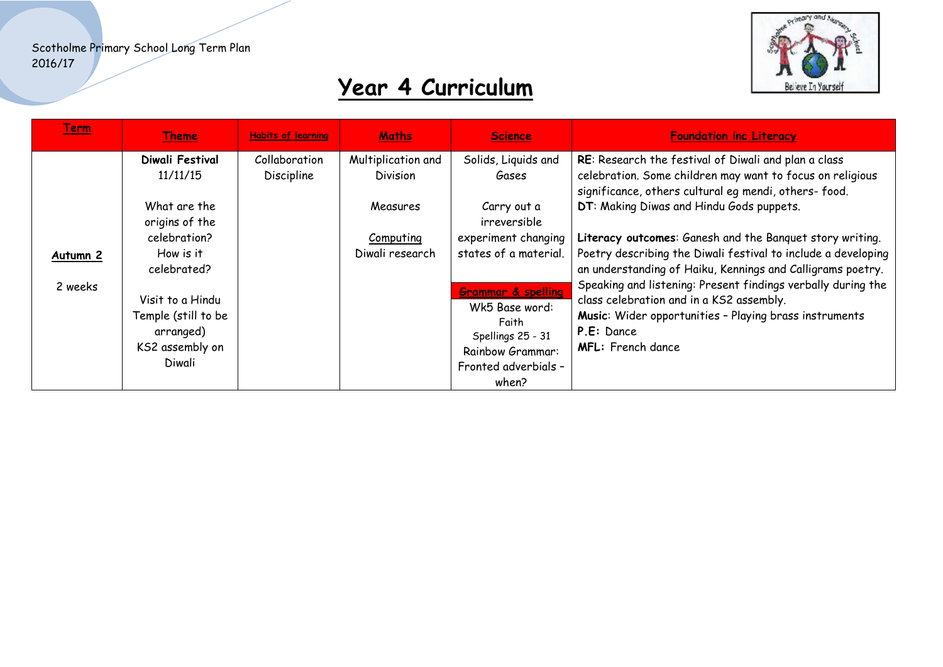

| <u>Term</u>                    | <u>Theme</u>                                                                                                                                                      | <b>Habits of learning</b>   | <b>Maths</b>                                                                             | <b>Science</b>                                                                                                                                                          | <b>Foundation inc Literacy</b>                                                                                                                                                                                                                                                                                                                                                                                                                                                                                                                                                                       |
|--------------------------------|-------------------------------------------------------------------------------------------------------------------------------------------------------------------|-----------------------------|------------------------------------------------------------------------------------------|-------------------------------------------------------------------------------------------------------------------------------------------------------------------------|------------------------------------------------------------------------------------------------------------------------------------------------------------------------------------------------------------------------------------------------------------------------------------------------------------------------------------------------------------------------------------------------------------------------------------------------------------------------------------------------------------------------------------------------------------------------------------------------------|
| Autumn <sub>2</sub><br>2 weeks | Diwali Festival<br>11/11/15<br>What are the<br>origins of the<br>celebration?<br>How is it<br>celebrated?<br>Visit to a Hindu<br>Temple (still to be<br>arranged) | Collaboration<br>Discipline | Multiplication and<br><b>Division</b><br>Measures<br><b>Computing</b><br>Diwali research | Solids, Liquids and<br>Gases<br>Carry out a<br>irreversible<br>experiment changing<br>states of a material.<br><b>Grammar &amp; spelling</b><br>Wk5 Base word:<br>Faith | RE: Research the festival of Diwali and plan a class<br>celebration. Some children may want to focus on religious<br>significance, others cultural eg mendi, others-food.<br>DT: Making Diwas and Hindu Gods puppets.<br>Literacy outcomes: Ganesh and the Banquet story writing.<br>Poetry describing the Diwali festival to include a developing<br>an understanding of Haiku, Kennings and Calligrams poetry.<br>Speaking and listening: Present findings verbally during the<br>class celebration and in a KS2 assembly.<br>Music: Wider opportunities - Playing brass instruments<br>P.E: Dance |
|                                | KS2 assembly on<br>Diwali                                                                                                                                         |                             |                                                                                          | Spellings 25 - 31<br><b>Rainbow Grammar:</b><br>Fronted adverbials -<br>when?                                                                                           | MFL: French dance                                                                                                                                                                                                                                                                                                                                                                                                                                                                                                                                                                                    |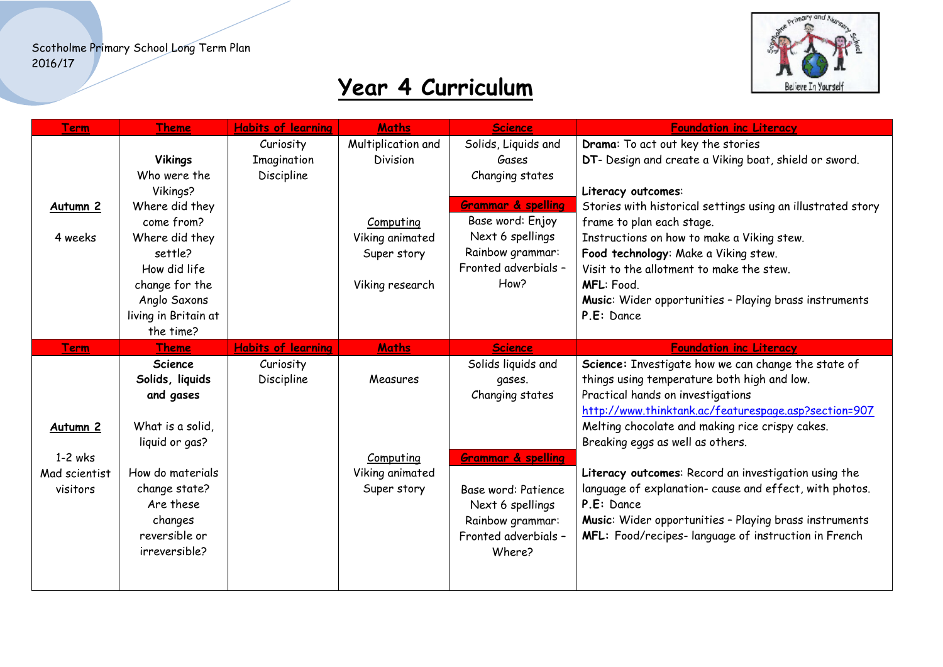

| <b>Term</b>         | <b>Theme</b>         | <b>Habits of learning</b> | <b>Maths</b>       | <b>Science</b>                | <b>Foundation inc Literacy</b>                              |
|---------------------|----------------------|---------------------------|--------------------|-------------------------------|-------------------------------------------------------------|
|                     |                      | Curiosity                 | Multiplication and | Solids, Liquids and           | Drama: To act out key the stories                           |
|                     | <b>Vikings</b>       | Imagination               | <b>Division</b>    | Gases                         | DT- Design and create a Viking boat, shield or sword.       |
|                     | Who were the         | Discipline                |                    | Changing states               |                                                             |
|                     | Vikings?             |                           |                    |                               | Literacy outcomes:                                          |
| Autumn <sub>2</sub> | Where did they       |                           |                    | <b>Grammar &amp; spelling</b> | Stories with historical settings using an illustrated story |
|                     | come from?           |                           | Computing          | Base word: Enjoy              | frame to plan each stage.                                   |
| 4 weeks             | Where did they       |                           | Viking animated    | Next 6 spellings              | Instructions on how to make a Viking stew.                  |
|                     | settle?              |                           | Super story        | Rainbow grammar:              | Food technology: Make a Viking stew.                        |
|                     | How did life         |                           |                    | Fronted adverbials -          | Visit to the allotment to make the stew.                    |
|                     | change for the       |                           | Viking research    | How?                          | MFL: Food.                                                  |
|                     | Anglo Saxons         |                           |                    |                               | Music: Wider opportunities - Playing brass instruments      |
|                     | living in Britain at |                           |                    |                               | P.E: Dance                                                  |
|                     | the time?            |                           |                    |                               |                                                             |
| <b>Term</b>         | <b>Theme</b>         | <b>Habits of learning</b> | <b>Maths</b>       | <b>Science</b>                | <b>Foundation inc Literacy</b>                              |
|                     | <b>Science</b>       | Curiosity                 |                    | Solids liquids and            | Science: Investigate how we can change the state of         |
|                     | Solids, liquids      | Discipline                | Measures           | gases.                        | things using temperature both high and low.                 |
|                     | and gases            |                           |                    | Changing states               | Practical hands on investigations                           |
|                     |                      |                           |                    |                               | http://www.thinktank.ac/featurespage.asp?section=907        |
| Autumn <sub>2</sub> | What is a solid,     |                           |                    |                               | Melting chocolate and making rice crispy cakes.             |
|                     | liquid or gas?       |                           |                    |                               | Breaking eggs as well as others.                            |
| $1-2$ wks           |                      |                           | Computing          | Grammar & spelling            |                                                             |
| Mad scientist       | How do materials     |                           | Viking animated    |                               | Literacy outcomes: Record an investigation using the        |
| visitors            | change state?        |                           | Super story        | Base word: Patience           | language of explanation- cause and effect, with photos.     |
|                     | Are these            |                           |                    | Next 6 spellings              | P.E: Dance                                                  |
|                     | changes              |                           |                    | Rainbow grammar:              | Music: Wider opportunities - Playing brass instruments      |
|                     | reversible or        |                           |                    | Fronted adverbials -          | MFL: Food/recipes-language of instruction in French         |
|                     | irreversible?        |                           |                    | Where?                        |                                                             |
|                     |                      |                           |                    |                               |                                                             |
|                     |                      |                           |                    |                               |                                                             |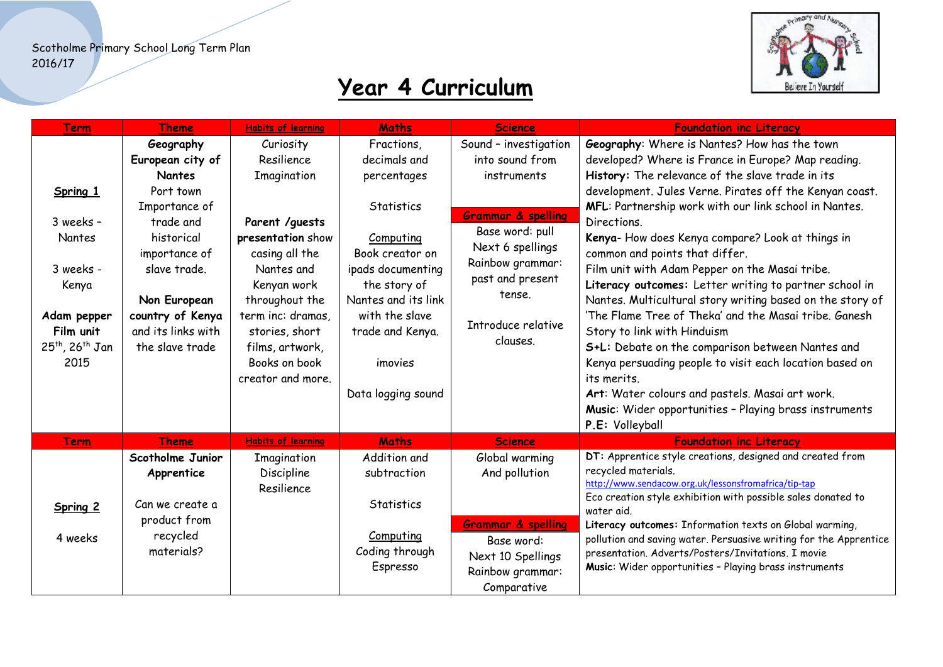

| Term                                                                                                                                | <b>Theme</b>                                                                                                                                                                                                          | <b>Habits of learning</b>                                                                                                                                                                                 | <b>Maths</b>                                                                                                                                                                              | <b>Science</b>                                                                                                                                                                                                      | <b>Foundation inc Literacy</b>                                                                                                                                                                                                                                                                                                                                                                                                                                                                                                                                                                                                                                                                      |
|-------------------------------------------------------------------------------------------------------------------------------------|-----------------------------------------------------------------------------------------------------------------------------------------------------------------------------------------------------------------------|-----------------------------------------------------------------------------------------------------------------------------------------------------------------------------------------------------------|-------------------------------------------------------------------------------------------------------------------------------------------------------------------------------------------|---------------------------------------------------------------------------------------------------------------------------------------------------------------------------------------------------------------------|-----------------------------------------------------------------------------------------------------------------------------------------------------------------------------------------------------------------------------------------------------------------------------------------------------------------------------------------------------------------------------------------------------------------------------------------------------------------------------------------------------------------------------------------------------------------------------------------------------------------------------------------------------------------------------------------------------|
| Spring 1<br>3 weeks -<br><b>Nantes</b><br>3 weeks -<br>Kenya<br>Adam pepper<br>Film unit<br>25 <sup>th</sup> , 26 <sup>th</sup> Jan | Geography<br>European city of<br><b>Nantes</b><br>Port town<br>Importance of<br>trade and<br>historical<br>importance of<br>slave trade.<br>Non European<br>country of Kenya<br>and its links with<br>the slave trade | Curiosity<br>Resilience<br>Imagination<br>Parent / quests<br>presentation show<br>casing all the<br>Nantes and<br>Kenyan work<br>throughout the<br>term inc: dramas,<br>stories, short<br>films, artwork, | Fractions,<br>decimals and<br>percentages<br>Statistics<br>Computing<br>Book creator on<br>ipads documenting<br>the story of<br>Nantes and its link<br>with the slave<br>trade and Kenya. | Sound - investigation<br>into sound from<br>instruments<br><b>Grammar &amp; spelling</b><br>Base word: pull<br>Next 6 spellings<br>Rainbow grammar:<br>past and present<br>tense.<br>Introduce relative<br>clauses. | Geography: Where is Nantes? How has the town<br>developed? Where is France in Europe? Map reading.<br>History: The relevance of the slave trade in its<br>development. Jules Verne. Pirates off the Kenyan coast.<br>MFL: Partnership work with our link school in Nantes.<br>Directions.<br>Kenya-How does Kenya compare? Look at things in<br>common and points that differ.<br>Film unit with Adam Pepper on the Masai tribe.<br>Literacy outcomes: Letter writing to partner school in<br>Nantes. Multicultural story writing based on the story of<br>'The Flame Tree of Theka' and the Masai tribe. Ganesh<br>Story to link with Hinduism<br>S+L: Debate on the comparison between Nantes and |
| 2015                                                                                                                                |                                                                                                                                                                                                                       | Books on book<br>creator and more.                                                                                                                                                                        | imovies<br>Data logging sound                                                                                                                                                             |                                                                                                                                                                                                                     | Kenya persuading people to visit each location based on<br>its merits.<br>Art: Water colours and pastels. Masai art work.<br>Music: Wider opportunities - Playing brass instruments                                                                                                                                                                                                                                                                                                                                                                                                                                                                                                                 |
| <b>Term</b>                                                                                                                         | <b>Theme</b>                                                                                                                                                                                                          | <b>Habits of learning</b>                                                                                                                                                                                 | <b>Maths</b>                                                                                                                                                                              | Science                                                                                                                                                                                                             | P.E: Volleyball<br><b>Foundation inc Literacy</b>                                                                                                                                                                                                                                                                                                                                                                                                                                                                                                                                                                                                                                                   |
| Spring 2                                                                                                                            | Scotholme Junior<br>Apprentice<br>Can we create a<br>product from                                                                                                                                                     | Imagination<br>Discipline<br>Resilience                                                                                                                                                                   | Addition and<br>subtraction<br><b>Statistics</b>                                                                                                                                          | Global warming<br>And pollution                                                                                                                                                                                     | DT: Apprentice style creations, designed and created from<br>recycled materials.<br>http://www.sendacow.org.uk/lessonsfromafrica/tip-tap<br>Eco creation style exhibition with possible sales donated to<br>water aid.                                                                                                                                                                                                                                                                                                                                                                                                                                                                              |
| 4 weeks                                                                                                                             | recycled<br>materials?                                                                                                                                                                                                |                                                                                                                                                                                                           | Computing<br>Coding through<br>Espresso                                                                                                                                                   | <b>Grammar &amp; spelling</b><br>Base word:<br>Next 10 Spellings<br>Rainbow grammar:<br>Comparative                                                                                                                 | Literacy outcomes: Information texts on Global warming,<br>pollution and saving water. Persuasive writing for the Apprentice<br>presentation. Adverts/Posters/Invitations. I movie<br>Music: Wider opportunities - Playing brass instruments                                                                                                                                                                                                                                                                                                                                                                                                                                                        |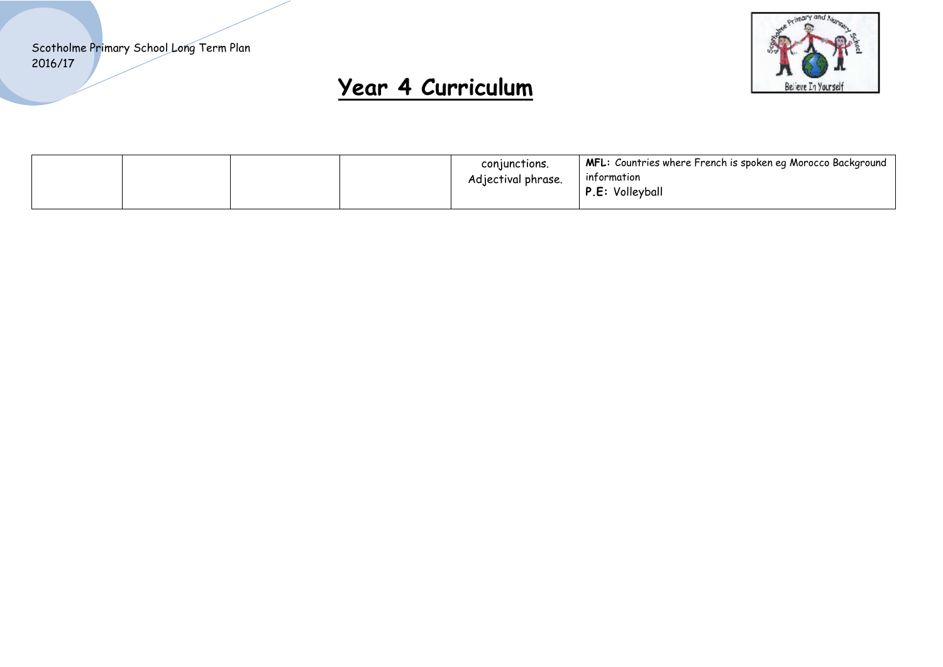

|  | MFL: Countries where French is spoken eq Morocco Background  <br>conjunctions.<br>information<br>Adjectival phrase.<br>P.E: Volleyball |
|--|----------------------------------------------------------------------------------------------------------------------------------------|
|--|----------------------------------------------------------------------------------------------------------------------------------------|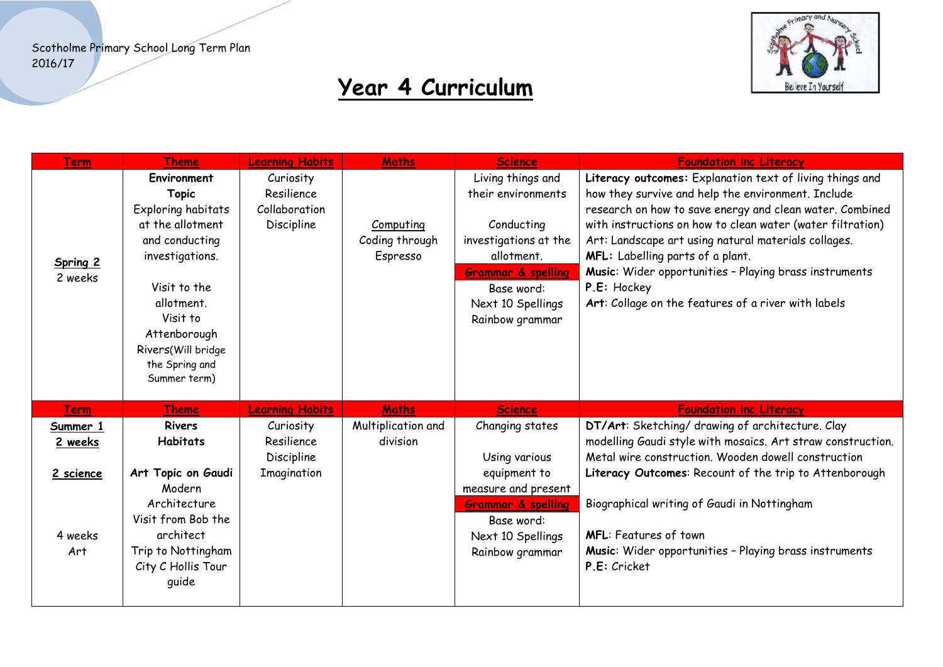

| <b>Term</b>                                        | Theme                                                                                                                                                                                                                        | <b>Learning Habits</b>                                 | <b>Maths</b>                            | <b>Science</b>                                                                                                                                                                      | <b>Foundation inc Literacy</b>                                                                                                                                                                                                                                                                                                                                                                                                                                       |
|----------------------------------------------------|------------------------------------------------------------------------------------------------------------------------------------------------------------------------------------------------------------------------------|--------------------------------------------------------|-----------------------------------------|-------------------------------------------------------------------------------------------------------------------------------------------------------------------------------------|----------------------------------------------------------------------------------------------------------------------------------------------------------------------------------------------------------------------------------------------------------------------------------------------------------------------------------------------------------------------------------------------------------------------------------------------------------------------|
| Spring 2<br>2 weeks                                | Environment<br><b>Topic</b><br>Exploring habitats<br>at the allotment<br>and conducting<br>investigations.<br>Visit to the<br>allotment.<br>Visit to<br>Attenborough<br>Rivers(Will bridge<br>the Spring and<br>Summer term) | Curiosity<br>Resilience<br>Collaboration<br>Discipline | Computing<br>Coding through<br>Espresso | Living things and<br>their environments<br>Conducting<br>investigations at the<br>allotment.<br><b>Grammar &amp; spelling</b><br>Base word:<br>Next 10 Spellings<br>Rainbow grammar | Literacy outcomes: Explanation text of living things and<br>how they survive and help the environment. Include<br>research on how to save energy and clean water. Combined<br>with instructions on how to clean water (water filtration)<br>Art: Landscape art using natural materials collages.<br>MFL: Labelling parts of a plant.<br>Music: Wider opportunities - Playing brass instruments<br>P.E: Hockey<br>Art: Collage on the features of a river with labels |
| <b>Term</b>                                        | Theme                                                                                                                                                                                                                        | <b>Learning Habits</b>                                 | <b>Maths</b>                            | <b>Science</b>                                                                                                                                                                      | <b>Foundation inc Literacy</b>                                                                                                                                                                                                                                                                                                                                                                                                                                       |
| Summer 1<br>2 weeks<br>2 science<br>4 weeks<br>Art | <b>Rivers</b><br><b>Habitats</b><br>Art Topic on Gaudi<br>Modern<br>Architecture<br>Visit from Bob the<br>architect<br>Trip to Nottingham<br>City C Hollis Tour<br>quide                                                     | Curiosity<br>Resilience<br>Discipline<br>Imagination   | Multiplication and<br>division          | Changing states<br>Using various<br>equipment to<br>measure and present<br><b>Grammar &amp; spelling</b><br>Base word:<br>Next 10 Spellings<br>Rainbow grammar                      | DT/Art: Sketching/ drawing of architecture. Clay<br>modelling Gaudi style with mosaics. Art straw construction.<br>Metal wire construction. Wooden dowell construction<br>Literacy Outcomes: Recount of the trip to Attenborough<br>Biographical writing of Gaudi in Nottingham<br><b>MFL: Features of town</b><br>Music: Wider opportunities - Playing brass instruments<br>P.E: Cricket                                                                            |